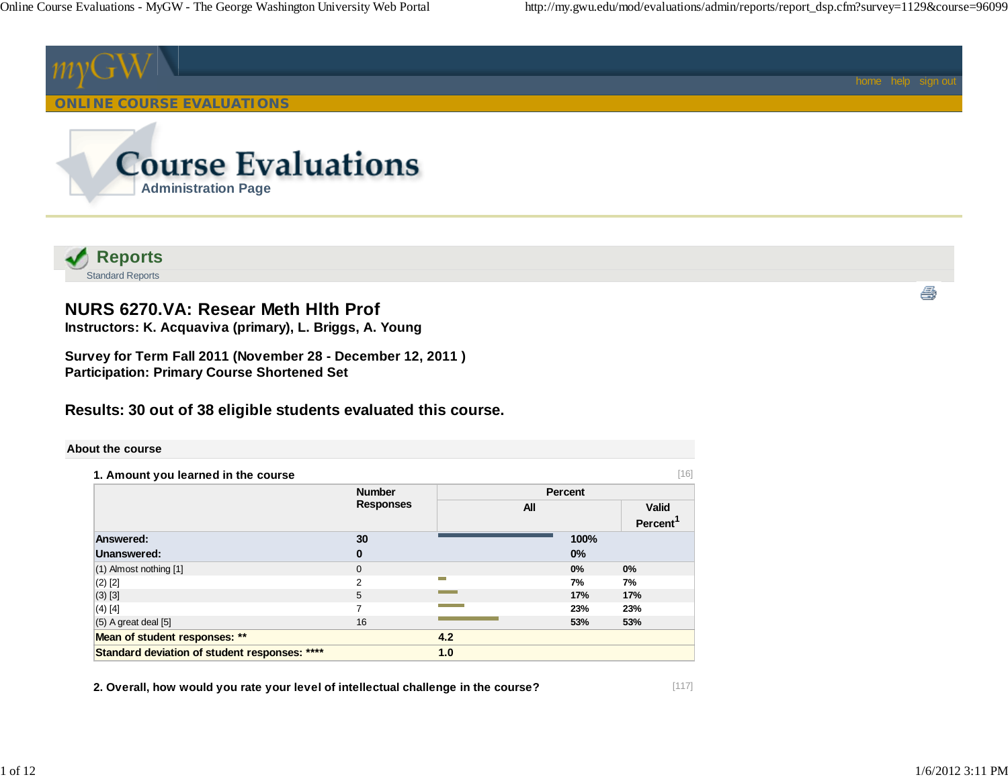



# **NURS 6270.VA: Resear Meth Hlth Prof**

**Instructors: K. Acquaviva (primary), L. Briggs, A. Young**

**Survey for Term Fall 2011 (November 28 - December 12, 2011 ) Participation: Primary Course Shortened Set**

# **Results: 30 out of 38 eligible students evaluated this course.**

#### **About the course**

| 1. Amount you learned in the course           |                  |     |                | [16]                 |
|-----------------------------------------------|------------------|-----|----------------|----------------------|
|                                               | <b>Number</b>    |     | <b>Percent</b> |                      |
|                                               | <b>Responses</b> | All |                | <b>Valid</b>         |
|                                               |                  |     |                | Percent <sup>1</sup> |
| <b>Answered:</b>                              | 30               |     | 100%           |                      |
| Unanswered:                                   | $\bf{0}$         |     | 0%             |                      |
| (1) Almost nothing [1]                        | $\mathbf{0}$     |     | 0%             | 0%                   |
| $(2)$ [2]                                     | $\mathcal{P}$    | −   | 7%             | 7%                   |
| $(3)$ [3]                                     | 5                |     | 17%            | 17%                  |
| $(4)$ [4]                                     | 7                |     | 23%            | 23%                  |
| $(5)$ A great deal $[5]$                      | 16               |     | 53%            | 53%                  |
| Mean of student responses: **                 |                  | 4.2 |                |                      |
| Standard deviation of student responses: **** |                  | 1.0 |                |                      |

**2. Overall, how would you rate your level of intellectual challenge in the course?**

4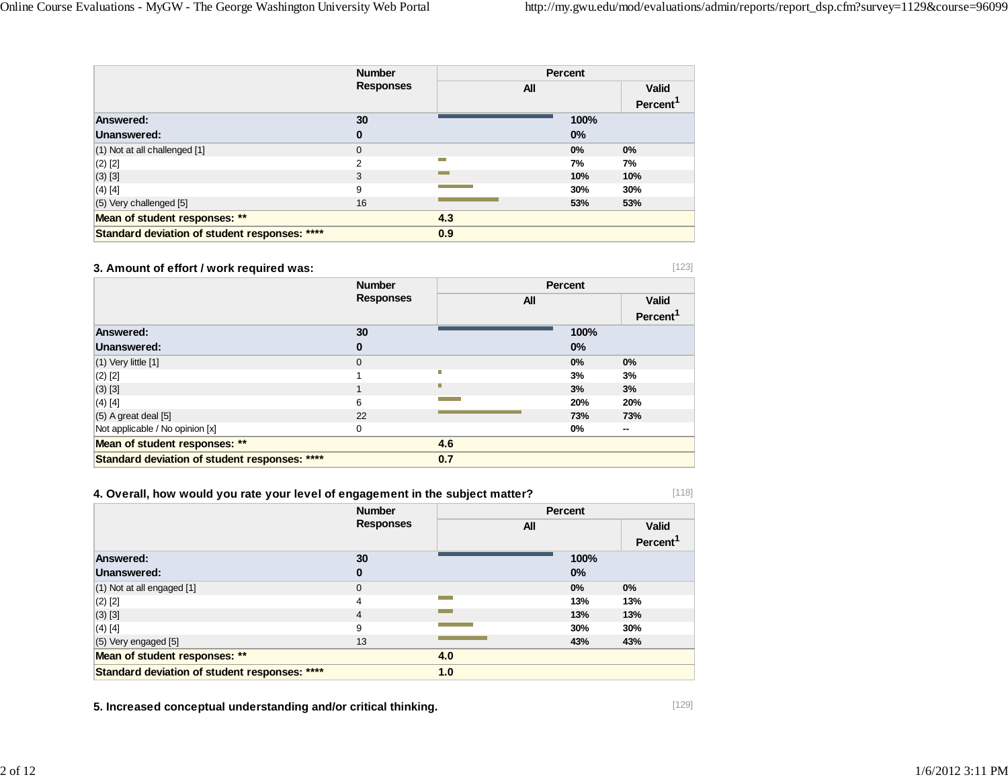|                                               | <b>Number</b>    | Percent          |      |                      |
|-----------------------------------------------|------------------|------------------|------|----------------------|
|                                               | <b>Responses</b> | All              |      | <b>Valid</b>         |
|                                               |                  |                  |      | Percent <sup>1</sup> |
| Answered:                                     | 30               |                  | 100% |                      |
| Unanswered:                                   | 0                |                  | 0%   |                      |
| (1) Not at all challenged [1]                 | 0                |                  | 0%   | 0%                   |
| $(2)$ [2]                                     | 2                | <b>The State</b> | 7%   | 7%                   |
| $(3)$ [3]                                     | 3                |                  | 10%  | 10%                  |
| $(4)$ [4]                                     | 9                |                  | 30%  | 30%                  |
| (5) Very challenged [5]                       | 16               |                  | 53%  | 53%                  |
| Mean of student responses: **                 |                  | 4.3              |      |                      |
| Standard deviation of student responses: **** |                  | 0.9              |      |                      |

### **3. Amount of effort / work required was:**

|                                               | <b>Number</b>    |            | <b>Percent</b> |                                |
|-----------------------------------------------|------------------|------------|----------------|--------------------------------|
|                                               | <b>Responses</b> | <b>All</b> |                | <b>Valid</b><br><b>Percent</b> |
| Answered:                                     | 30               |            | 100%           |                                |
| Unanswered:                                   | 0                |            | $0\%$          |                                |
| $(1)$ Very little $[1]$                       | $\mathbf{0}$     |            | 0%             | 0%                             |
| $(2)$ [2]                                     |                  |            | 3%             | 3%                             |
| $(3)$ [3]                                     |                  |            | 3%             | 3%                             |
| $(4)$ [4]                                     | 6                |            | 20%            | 20%                            |
| $(5)$ A great deal $[5]$                      | 22               |            | 73%            | 73%                            |
| Not applicable / No opinion [x]               | 0                |            | 0%             | $\sim$                         |
| Mean of student responses: **                 |                  | 4.6        |                |                                |
| Standard deviation of student responses: **** |                  | 0.7        |                |                                |

## **4. Overall, how would you rate your level of engagement in the subject matter?**

|                                               | <b>Number</b>    |     | Percent |                      |
|-----------------------------------------------|------------------|-----|---------|----------------------|
|                                               | <b>Responses</b> | All |         | <b>Valid</b>         |
|                                               |                  |     |         | Percent <sup>1</sup> |
| Answered:                                     | 30               |     | 100%    |                      |
| Unanswered:                                   | 0                |     | 0%      |                      |
| (1) Not at all engaged [1]                    | $\mathbf 0$      |     | 0%      | $0\%$                |
| $(2)$ [2]                                     | 4                |     | 13%     | 13%                  |
| $(3)$ [3]                                     | $\overline{4}$   |     | 13%     | 13%                  |
| $(4)$ [4]                                     | 9                |     | 30%     | 30%                  |
| (5) Very engaged [5]                          | 13               |     | 43%     | 43%                  |
| Mean of student responses: **                 |                  | 4.0 |         |                      |
| Standard deviation of student responses: **** |                  | 1.0 |         |                      |

**5. Increased conceptual understanding and/or critical thinking.**

[118]

[123]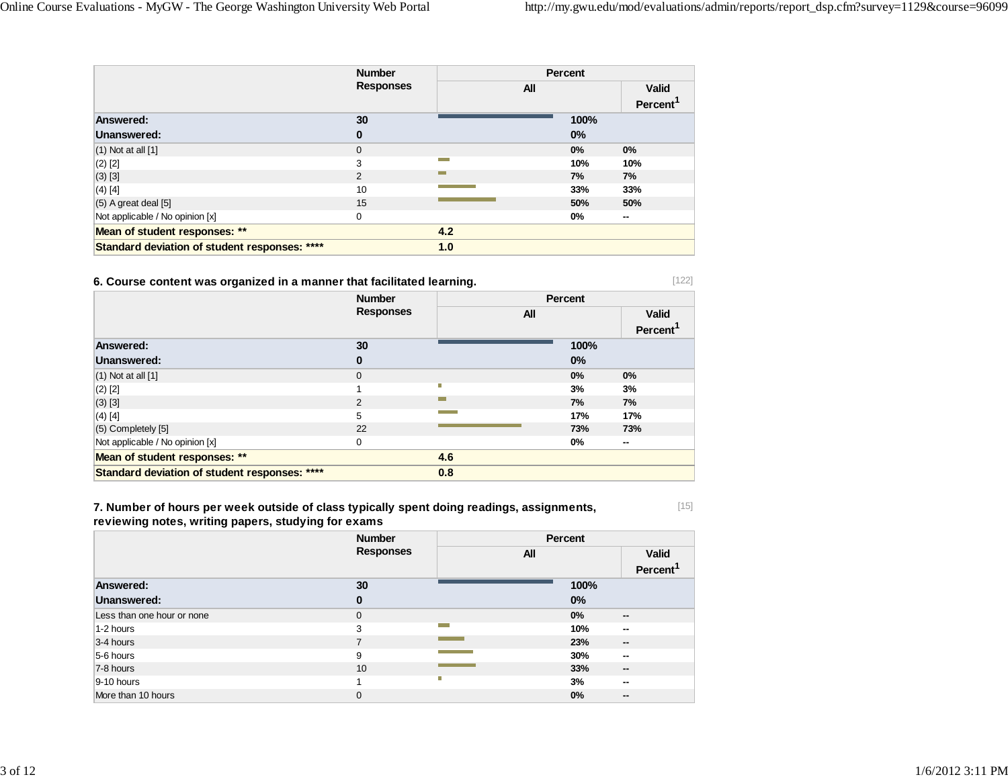|                                               | <b>Number</b><br><b>Responses</b> | Percent           |       |                                      |
|-----------------------------------------------|-----------------------------------|-------------------|-------|--------------------------------------|
|                                               |                                   | All               |       | <b>Valid</b><br>Percent <sup>1</sup> |
| Answered:                                     | 30                                |                   | 100%  |                                      |
| Unanswered:                                   | 0                                 |                   | 0%    |                                      |
| $(1)$ Not at all $[1]$                        | 0                                 |                   | 0%    | 0%                                   |
| $(2)$ [2]                                     | 3                                 | المنابعة المتوازن | 10%   | 10%                                  |
| $(3)$ [3]                                     | 2                                 | m.                | 7%    | 7%                                   |
| $(4)$ [4]                                     | 10                                |                   | 33%   | 33%                                  |
| $(5)$ A great deal $[5]$                      | 15                                |                   | 50%   | 50%                                  |
| Not applicable / No opinion [x]               | 0                                 |                   | $0\%$ | $\sim$                               |
| Mean of student responses: **                 |                                   | 4.2               |       |                                      |
| Standard deviation of student responses: **** |                                   | 1.0               |       |                                      |

#### **6. Course content was organized in a manner that facilitated learning.**

|                                               | <b>Number</b>    |     | Percent |                      |  |
|-----------------------------------------------|------------------|-----|---------|----------------------|--|
|                                               | <b>Responses</b> | All |         | <b>Valid</b>         |  |
|                                               |                  |     |         | Percent <sup>1</sup> |  |
| Answered:                                     | 30               |     | 100%    |                      |  |
| Unanswered:                                   | 0                |     | 0%      |                      |  |
| $(1)$ Not at all $[1]$                        | $\mathbf 0$      |     | 0%      | 0%                   |  |
| $(2)$ [2]                                     |                  | П   | 3%      | 3%                   |  |
| $(3)$ [3]                                     | $\overline{2}$   | −   | 7%      | 7%                   |  |
| $(4)$ [4]                                     | 5                |     | 17%     | 17%                  |  |
| (5) Completely [5]                            | 22               |     | 73%     | 73%                  |  |
| Not applicable / No opinion [x]               | 0                |     | 0%      | $\sim$               |  |
| Mean of student responses: **                 |                  | 4.6 |         |                      |  |
| Standard deviation of student responses: **** |                  | 0.8 |         |                      |  |

**7. Number of hours per week outside of class typically spent doing readings, assignments, reviewing notes, writing papers, studying for exams**

|                            | <b>Number</b>    | Percent |       |                      |
|----------------------------|------------------|---------|-------|----------------------|
|                            | <b>Responses</b> | All     |       |                      |
|                            |                  |         |       | Percent <sup>1</sup> |
| Answered:                  | 30               |         | 100%  |                      |
| Unanswered:                | 0                |         | $0\%$ |                      |
| Less than one hour or none | $\mathbf 0$      |         | 0%    | $\sim$               |
| 1-2 hours                  | 3                | m.      | 10%   | --                   |
| 3-4 hours                  | 7                |         | 23%   | $\sim$               |
| 5-6 hours                  | 9                |         | 30%   | $\sim$               |
| 7-8 hours                  | 10               |         | 33%   | $\sim$               |
| $9-10$ hours               |                  | п       | 3%    | --                   |
| More than 10 hours         | 0                |         | 0%    | $\sim$               |

[15]

[122]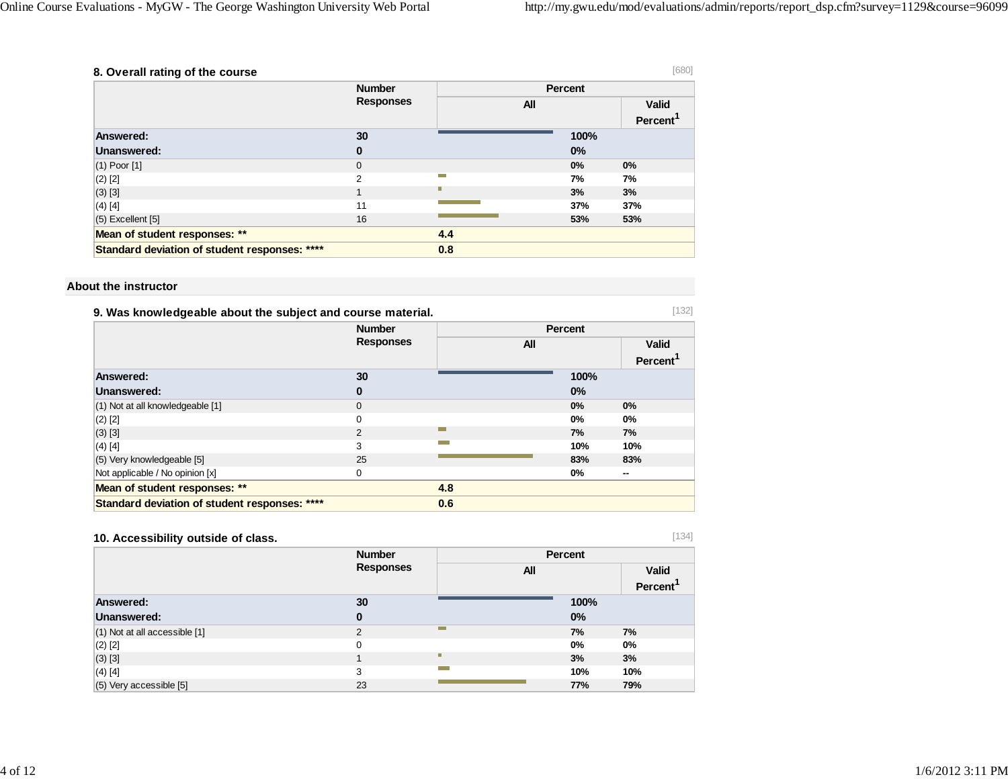| 8. Overall rating of the course               |                  |                  |         | [680]                                |
|-----------------------------------------------|------------------|------------------|---------|--------------------------------------|
|                                               | <b>Number</b>    |                  | Percent |                                      |
|                                               | <b>Responses</b> | All              |         | <b>Valid</b><br>Percent <sup>1</sup> |
| <b>Answered:</b>                              | 30               |                  | 100%    |                                      |
| Unanswered:                                   | 0                |                  | 0%      |                                      |
| $(1)$ Poor $[1]$                              | 0                |                  | $0\%$   | 0%                                   |
| $(2)$ [2]                                     | 2                | <b>The State</b> | 7%      | 7%                                   |
| $(3)$ [3]                                     | $\mathbf{1}$     |                  | 3%      | 3%                                   |
| $(4)$ [4]                                     | 11               |                  | 37%     | 37%                                  |
| $(5)$ Excellent $[5]$                         | 16               |                  | 53%     | 53%                                  |
| Mean of student responses: **                 |                  | 4.4              |         |                                      |
| Standard deviation of student responses: **** |                  | 0.8              |         |                                      |

#### **About the instructor**

| 9. Was knowledgeable about the subject and course material. |                  |     |         |              |
|-------------------------------------------------------------|------------------|-----|---------|--------------|
|                                                             | <b>Number</b>    |     | Percent |              |
|                                                             | <b>Responses</b> | All |         | <b>Valid</b> |
|                                                             |                  |     |         | Percent      |
| Answered:                                                   | 30               |     | 100%    |              |
| Unanswered:                                                 | 0                |     | $0\%$   |              |
| (1) Not at all knowledgeable [1]                            | $\Omega$         |     | 0%      | 0%           |
| $(2)$ [2]                                                   | $\Omega$         |     | $0\%$   | $0\%$        |
| $(3)$ [3]                                                   | 2                | m.  | 7%      | 7%           |
| $(4)$ [4]                                                   | 3                |     | 10%     | 10%          |
| (5) Very knowledgeable [5]                                  | 25               |     | 83%     | 83%          |
| Not applicable / No opinion [x]                             | 0                |     | $0\%$   | --           |
| Mean of student responses: **                               |                  | 4.8 |         |              |
| Standard deviation of student responses: ****               |                  | 0.6 |         |              |

## **10. Accessibility outside of class.**

[134]

|                                   | <b>Number</b>    | Percent         |      |                      |
|-----------------------------------|------------------|-----------------|------|----------------------|
|                                   | <b>Responses</b> | All             |      | <b>Valid</b>         |
|                                   |                  |                 |      | Percent <sup>1</sup> |
| Answered:                         | 30               |                 | 100% |                      |
| Unanswered:                       | 0                |                 | 0%   |                      |
| $(1)$ Not at all accessible $[1]$ | $\overline{2}$   | m.              | 7%   | 7%                   |
| $(2)$ [2]                         | $\Omega$         |                 | 0%   | 0%                   |
| $(3)$ [3]                         |                  | п               | 3%   | 3%                   |
| $(4)$ [4]                         | 3                | <b>Contract</b> | 10%  | 10%                  |
| $(5)$ Very accessible $[5]$       | 23               |                 | 77%  | 79%                  |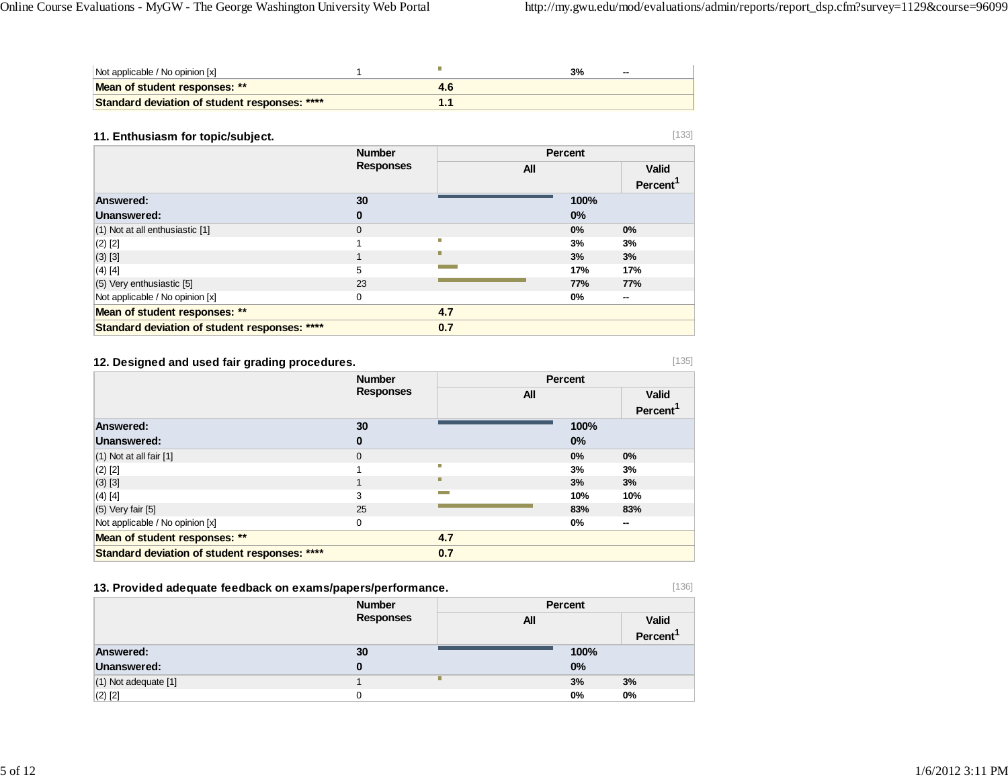| Not applicable / No opinion [x]               |  | 3% | $-$ |
|-----------------------------------------------|--|----|-----|
| Mean of student responses: **                 |  |    |     |
| Standard deviation of student responses: **** |  |    |     |

#### **11. Enthusiasm for topic/subject.**

|                                               | <b>Number</b>    |     | <b>Percent</b> |                      |
|-----------------------------------------------|------------------|-----|----------------|----------------------|
|                                               | <b>Responses</b> | All |                | <b>Valid</b>         |
|                                               |                  |     |                | Percent <sup>1</sup> |
| Answered:                                     | 30               |     | 100%           |                      |
| Unanswered:                                   | 0                |     | 0%             |                      |
| (1) Not at all enthusiastic [1]               | $\Omega$         |     | 0%             | 0%                   |
| $(2)$ [2]                                     |                  | П   | 3%             | 3%                   |
| $(3)$ [3]                                     |                  |     | 3%             | 3%                   |
| $(4)$ [4]                                     | 5                |     | 17%            | 17%                  |
| (5) Very enthusiastic [5]                     | 23               |     | 77%            | 77%                  |
| Not applicable / No opinion [x]               | 0                |     | 0%             | --                   |
| Mean of student responses: **                 |                  | 4.7 |                |                      |
| Standard deviation of student responses: **** |                  | 0.7 |                |                      |

### **12. Designed and used fair grading procedures.**

|                                               | <b>Number</b><br><b>Responses</b> |            | Percent |                      |
|-----------------------------------------------|-----------------------------------|------------|---------|----------------------|
|                                               |                                   | <b>All</b> |         | <b>Valid</b>         |
|                                               |                                   |            |         | Percent <sup>1</sup> |
| Answered:                                     | 30                                |            | 100%    |                      |
| Unanswered:                                   | 0                                 |            | 0%      |                      |
| $(1)$ Not at all fair $[1]$                   | $\mathbf{0}$                      |            | 0%      | 0%                   |
| $(2)$ [2]                                     |                                   | П          | 3%      | 3%                   |
| $(3)$ [3]                                     |                                   | п          | 3%      | 3%                   |
| $(4)$ [4]                                     | 3                                 |            | 10%     | 10%                  |
| $(5)$ Very fair $[5]$                         | 25                                |            | 83%     | 83%                  |
| Not applicable / No opinion [x]               | 0                                 |            | 0%      | --                   |
| Mean of student responses: **                 |                                   | 4.7        |         |                      |
| Standard deviation of student responses: **** |                                   | 0.7        |         |                      |

## **13. Provided adequate feedback on exams/papers/performance.**

|                      | <b>Number</b><br><b>Responses</b> | Percent    |       |                      |
|----------------------|-----------------------------------|------------|-------|----------------------|
|                      |                                   | <b>All</b> |       | <b>Valid</b>         |
|                      |                                   |            |       | Percent <sup>'</sup> |
| Answered:            | 30                                |            | 100%  |                      |
| Unanswered:          | 0                                 |            | 0%    |                      |
| (1) Not adequate [1] |                                   | г          | 3%    | 3%                   |
| $(2)$ $[2]$          |                                   |            | $0\%$ | 0%                   |

[133]

[135]

[136]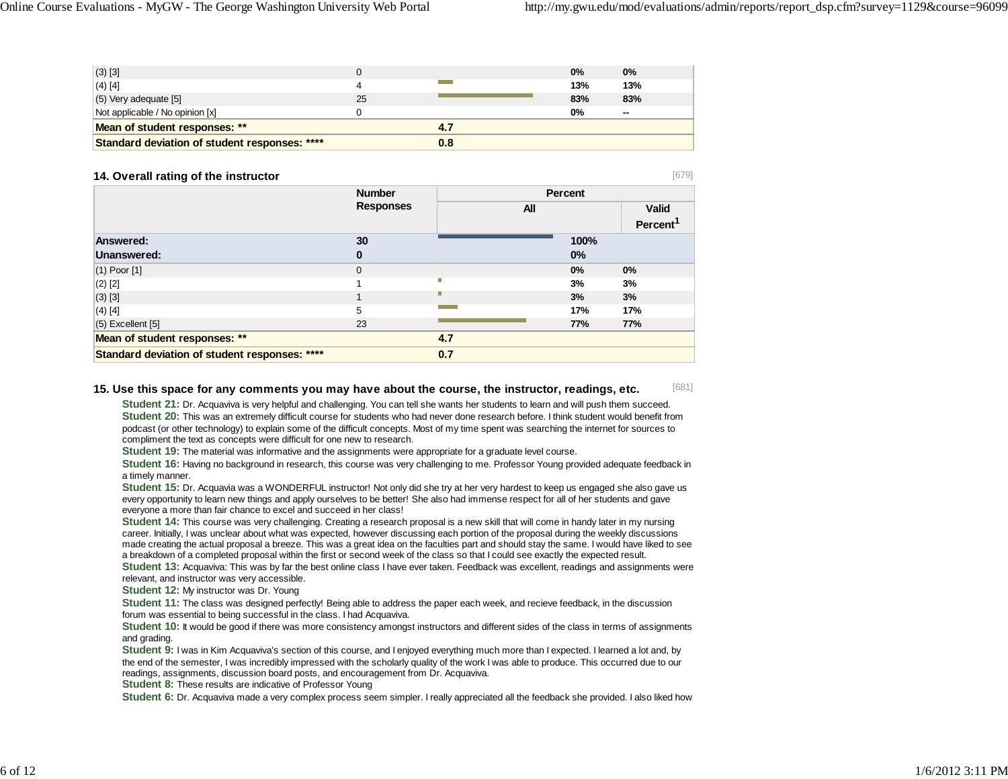[679]

| $(3)$ [3]                                     |    |     | 0%  | 0%             |
|-----------------------------------------------|----|-----|-----|----------------|
| $(4)$ [4]                                     |    |     | 13% | 13%            |
| $(5)$ Very adequate $[5]$                     | 25 |     | 83% | 83%            |
| Not applicable / No opinion [x]               |    |     | 0%  | $\overline{a}$ |
| Mean of student responses: **                 |    | 4.7 |     |                |
| Standard deviation of student responses: **** |    | 0.8 |     |                |

#### **14. Overall rating of the instructor**

 **NumberResponses Percent All ValidPercent<sup>1</sup> Answered: 30 100% Unanswered: 0 0%**(1) Poor [1] 0 **0% 0%** (2) [2] 1 **3% 3%** (3) [3] 1 **3% 3%** (4) [4] 5 **17% 17%** (5) Excellent [5] 23 **77% 77% Mean of student responses: \*\* 4.7 Standard deviation of student responses: \*\*\*\* 0.7**

#### [681] **15. Use this space for any comments you may have about the course, the instructor, readings, etc.**

**Student 21:** Dr. Acquaviva is very helpful and challenging. You can tell she wants her students to learn and will push them succeed. **Student 20:** This was an extremely difficult course for students who had never done research before. I think student would benefit from podcast (or other technology) to explain some of the difficult concepts. Most of my time spent was searching the internet for sources to compliment the text as concepts were difficult for one new to research.

**Student 19:** The material was informative and the assignments were appropriate for a graduate level course.

**Student 16:** Having no background in research, this course was very challenging to me. Professor Young provided adequate feedback in a timely manner.

**Student 15:** Dr. Acquavia was a WONDERFUL instructor! Not only did she try at her very hardest to keep us engaged she also gave us every opportunity to learn new things and apply ourselves to be better! She also had immense respect for all of her students and gave everyone a more than fair chance to excel and succeed in her class!

**Student 14:** This course was very challenging. Creating a research proposal is a new skill that will come in handy later in my nursing career. Initially, I was unclear about what was expected, however discussing each portion of the proposal during the weekly discussions made creating the actual proposal a breeze. This was a great idea on the faculties part and should stay the same. I would have liked to see a breakdown of a completed proposal within the first or second week of the class so that I could see exactly the expected result. **Student 13:** Acquaviva: This was by far the best online class I have ever taken. Feedback was excellent, readings and assignments were

relevant, and instructor was very accessible.

**Student 12:** My instructor was Dr. Young

**Student 11:** The class was designed perfectly! Being able to address the paper each week, and recieve feedback, in the discussion forum was essential to being successful in the class. I had Acquaviva.

**Student 10:** It would be good if there was more consistency amongst instructors and different sides of the class in terms of assignments and grading.

**Student 9:** I was in Kim Acquaviva's section of this course, and I enjoyed everything much more than I expected. I learned a lot and, by the end of the semester, I was incredibly impressed with the scholarly quality of the work I was able to produce. This occurred due to our readings, assignments, discussion board posts, and encouragement from Dr. Acquaviva.

**Student 8:** These results are indicative of Professor Young

**Student 6:** Dr. Acquaviva made a very complex process seem simpler. I really appreciated all the feedback she provided. I also liked how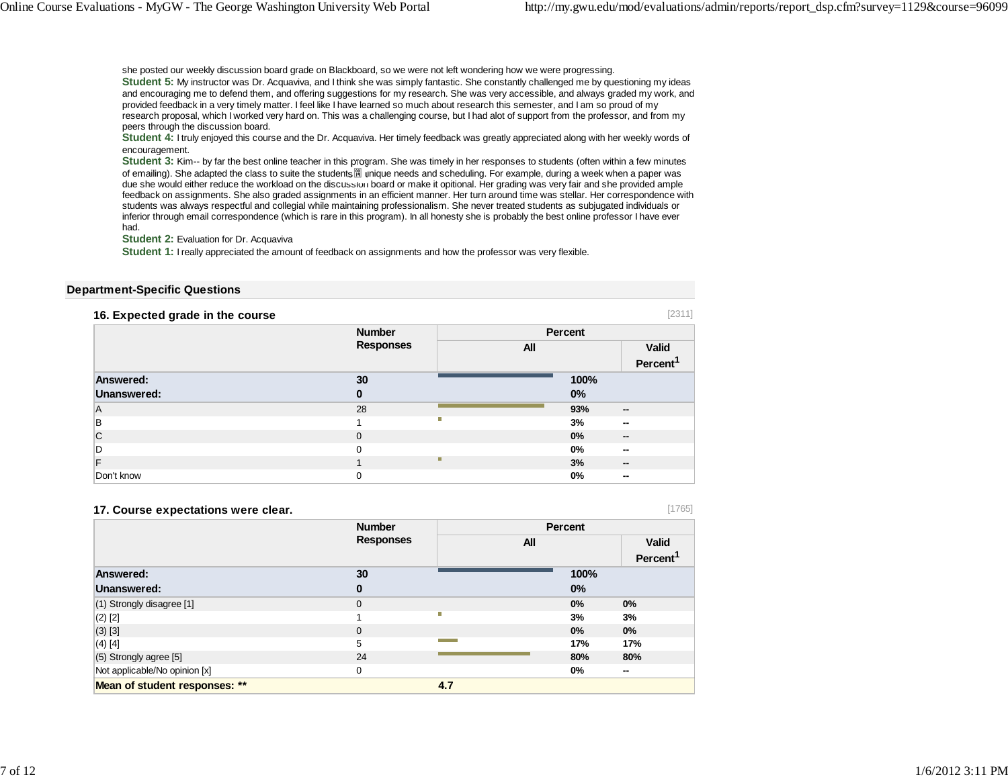she posted our weekly discussion board grade on Blackboard, so we were not left wondering how we were progressing. **Student 5:** My instructor was Dr. Acquaviva, and I think she was simply fantastic. She constantly challenged me by questioning my ideas and encouraging me to defend them, and offering suggestions for my research. She was very accessible, and always graded my work, and provided feedback in a very timely matter. I feel like I have learned so much about research this semester, and I am so proud of my research proposal, which I worked very hard on. This was a challenging course, but I had alot of support from the professor, and from my peers through the discussion board.

**Student 4:** I truly enjoyed this course and the Dr. Acquaviva. Her timely feedback was greatly appreciated along with her weekly words of encouragement.

**Student 3:** Kim-- by far the best online teacher in this program. She was timely in her responses to students (often within a few minutes of emailing). She adapted the class to suite the students unique needs and scheduling. For example, during a week when a paper was due she would either reduce the workload on the discussion board or make it opitional. Her grading was very fair and she provided ample feedback on assignments. She also graded assignments in an efficient manner. Her turn around time was stellar. Her correspondence with students was always respectful and collegial while maintaining professionalism. She never treated students as subjugated individuals or inferior through email correspondence (which is rare in this program). In all honesty she is probably the best online professor I have ever had.

**Student 2:** Evaluation for Dr. Acquaviva

**Student 1:** I really appreciated the amount of feedback on assignments and how the professor was very flexible.

#### **Department-Specific Questions**

| 16. Expected grade in the course |                                   |     |       | [2311]                   |  |
|----------------------------------|-----------------------------------|-----|-------|--------------------------|--|
|                                  | <b>Number</b><br><b>Responses</b> |     |       | Percent                  |  |
|                                  |                                   | All |       | <b>Valid</b>             |  |
|                                  |                                   |     |       | Percent <sup>1</sup>     |  |
| Answered:                        | 30                                |     | 100%  |                          |  |
| Unanswered:                      | 0                                 |     | 0%    |                          |  |
| l A                              | 28                                |     | 93%   | $\overline{\phantom{a}}$ |  |
| в                                |                                   | П   | 3%    | $\sim$                   |  |
| C                                | $\Omega$                          |     | 0%    | $\sim$                   |  |
| D                                | $\Omega$                          |     | $0\%$ | $\sim$                   |  |
| F                                |                                   | п   | 3%    | $\sim$                   |  |
| Don't know                       | $\Omega$                          |     | $0\%$ | $\sim$                   |  |

#### **17. Course expectations were clear.**

[1765]

|                               | <b>Number</b>    |     | Percent              |
|-------------------------------|------------------|-----|----------------------|
|                               | <b>Responses</b> | All | <b>Valid</b>         |
|                               |                  |     | Percent <sup>1</sup> |
| Answered:                     | 30               |     | 100%                 |
| Unanswered:                   | $\bf{0}$         |     | $0\%$                |
| (1) Strongly disagree [1]     | $\mathbf 0$      |     | $0\%$<br>$0\%$       |
| $(2)$ [2]                     |                  | П   | 3%<br>3%             |
| $(3)$ [3]                     | 0                |     | 0%<br>0%             |
| $(4)$ [4]                     | 5                |     | 17%<br>17%           |
| (5) Strongly agree [5]        | 24               |     | 80%<br>80%           |
| Not applicable/No opinion [x] | 0                |     | 0%<br>$\sim$         |
| Mean of student responses: ** |                  | 4.7 |                      |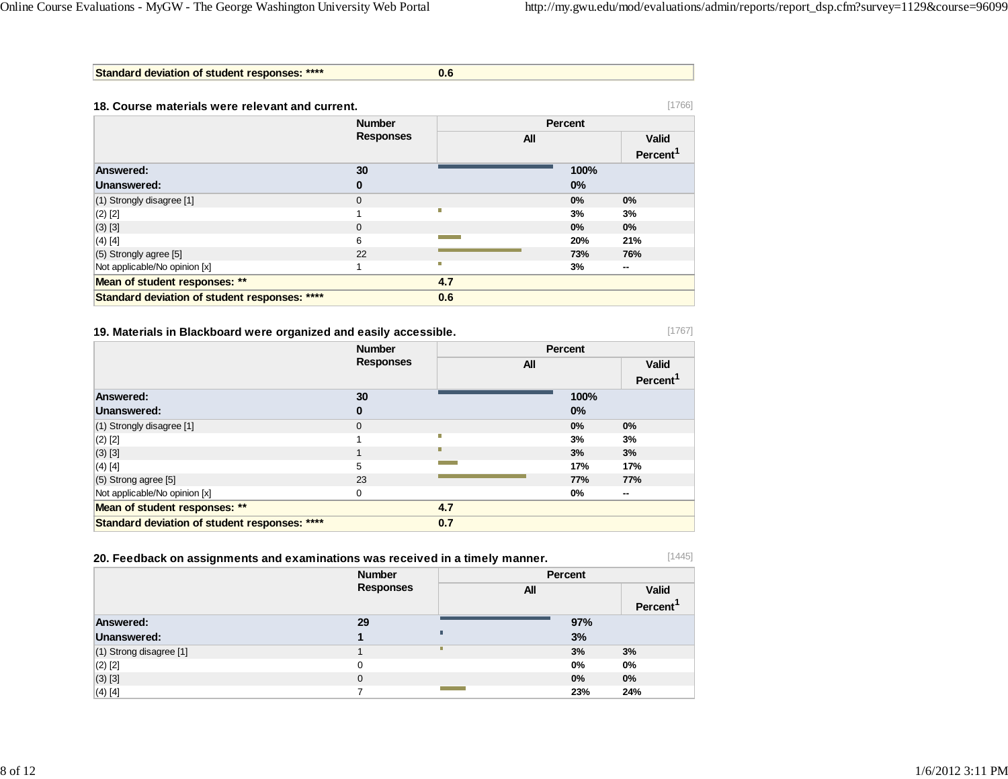**Standard deviation of student responses: \*\*\*\* 0.6**

| 18. Course materials were relevant and current. |                                   |     | [1766]         |                      |  |
|-------------------------------------------------|-----------------------------------|-----|----------------|----------------------|--|
|                                                 | <b>Number</b><br><b>Responses</b> |     | <b>Percent</b> |                      |  |
|                                                 |                                   | All |                | <b>Valid</b>         |  |
|                                                 |                                   |     |                | Percent <sup>1</sup> |  |
| Answered:                                       | 30                                |     | 100%           |                      |  |
| Unanswered:                                     | 0                                 |     | $0\%$          |                      |  |
| (1) Strongly disagree [1]                       | $\mathbf{0}$                      |     | 0%             | 0%                   |  |
| $(2)$ [2]                                       |                                   | Π   | 3%             | 3%                   |  |
| $(3)$ [3]                                       | $\Omega$                          |     | 0%             | 0%                   |  |
| $(4)$ [4]                                       | 6                                 |     | 20%            | 21%                  |  |
| $(5)$ Strongly agree [5]                        | 22                                |     | 73%            | 76%                  |  |
| Not applicable/No opinion [x]                   |                                   | П   | 3%             | $\sim$               |  |
| Mean of student responses: **                   |                                   | 4.7 |                |                      |  |
| Standard deviation of student responses: ****   |                                   | 0.6 |                |                      |  |

**19. Materials in Blackboard were organized and easily accessible.**

[1767]

|                                               | <b>Number</b><br><b>Responses</b> |            | Percent |                      |  |
|-----------------------------------------------|-----------------------------------|------------|---------|----------------------|--|
|                                               |                                   | <b>All</b> |         | <b>Valid</b>         |  |
|                                               |                                   |            |         | Percent <sup>1</sup> |  |
| <b>Answered:</b>                              | 30                                |            | 100%    |                      |  |
| Unanswered:                                   | 0                                 |            | 0%      |                      |  |
| (1) Strongly disagree [1]                     | $\mathbf{0}$                      |            | $0\%$   | 0%                   |  |
| $(2)$ [2]                                     |                                   |            | 3%      | 3%                   |  |
| $(3)$ [3]                                     |                                   | ш          | 3%      | 3%                   |  |
| $(4)$ [4]                                     | 5                                 |            | 17%     | 17%                  |  |
| $(5)$ Strong agree [5]                        | 23                                |            | 77%     | 77%                  |  |
| Not applicable/No opinion [x]                 | 0                                 |            | 0%      | --                   |  |
| Mean of student responses: **                 |                                   | 4.7        |         |                      |  |
| Standard deviation of student responses: **** |                                   | 0.7        |         |                      |  |

| 20. Feedback on assignments and examinations was received in a timely manner. |                  |         |         |
|-------------------------------------------------------------------------------|------------------|---------|---------|
|                                                                               | <b>Number</b>    | Percent |         |
|                                                                               | <b>Responses</b> | All     | Valid   |
|                                                                               |                  |         | Percent |
| Answered:                                                                     | 29               | 97%     |         |
| Unanswered:                                                                   |                  | 3%      |         |
| $(1)$ Strong disagree [1]                                                     |                  | 3%      | 3%      |
| $(2)$ [2]                                                                     | 0                | 0%      | 0%      |
| $(3)$ [3]                                                                     | $\Omega$         | 0%      | 0%      |
| $(4)$ [4]                                                                     |                  | 23%     | 24%     |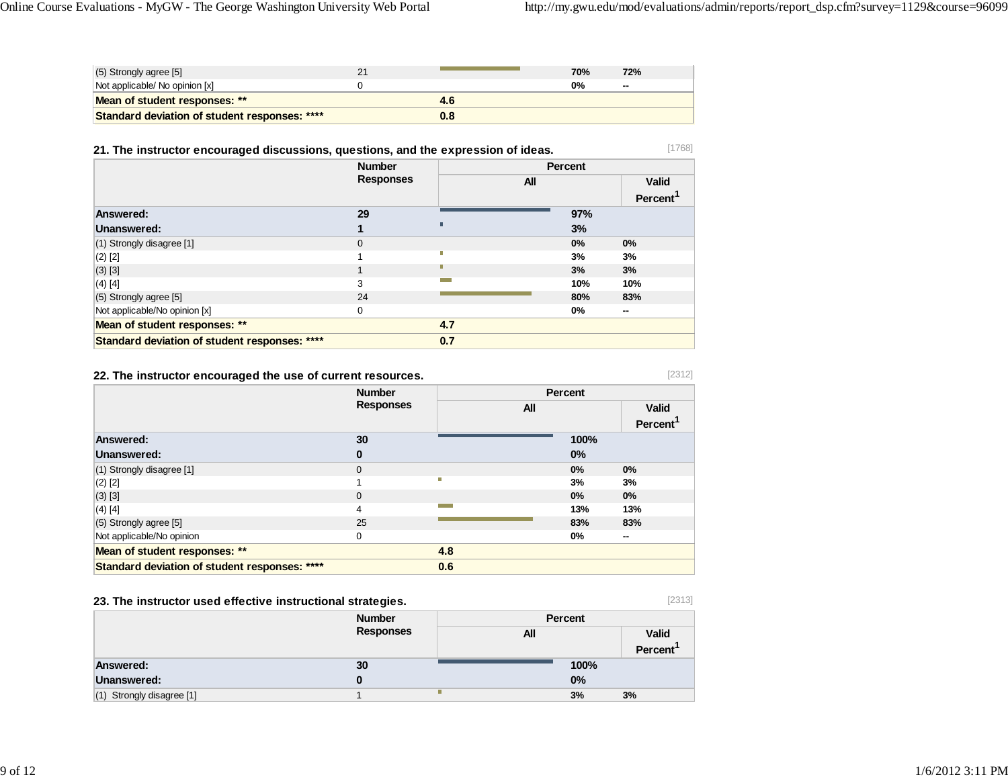| $(5)$ Strongly agree [5]                      |     | 70% | 72%    |
|-----------------------------------------------|-----|-----|--------|
| Not applicable/ No opinion [x]                |     | 0%  | $\sim$ |
| Mean of student responses: **                 | 4.6 |     |        |
| Standard deviation of student responses: **** | 0.8 |     |        |

## **21. The instructor encouraged discussions, questions, and the expression of ideas.**

|                                               | <b>Number</b>    |            | Percent |                         |  |
|-----------------------------------------------|------------------|------------|---------|-------------------------|--|
|                                               | <b>Responses</b> | <b>All</b> |         | <b>Valid</b><br>Percent |  |
| Answered:                                     | 29               |            | 97%     |                         |  |
| Unanswered:                                   |                  |            | 3%      |                         |  |
| (1) Strongly disagree [1]                     | $\mathbf{0}$     |            | $0\%$   | 0%                      |  |
| $(2)$ [2]                                     |                  |            | 3%      | 3%                      |  |
| $(3)$ [3]                                     |                  |            | 3%      | 3%                      |  |
| $(4)$ [4]                                     | 3                |            | 10%     | 10%                     |  |
| (5) Strongly agree [5]                        | 24               |            | 80%     | 83%                     |  |
| Not applicable/No opinion [x]                 | $\Omega$         |            | 0%      | --                      |  |
| Mean of student responses: **                 |                  | 4.7        |         |                         |  |
| Standard deviation of student responses: **** |                  | 0.7        |         |                         |  |

## **22. The instructor encouraged the use of current resources.**

[2312]

[1768]

|                                               | <b>Number</b>    |     | Percent |                      |
|-----------------------------------------------|------------------|-----|---------|----------------------|
|                                               | <b>Responses</b> | All |         | <b>Valid</b>         |
|                                               |                  |     |         | Percent <sup>1</sup> |
| Answered:                                     | 30               |     | 100%    |                      |
| Unanswered:                                   | 0                |     | 0%      |                      |
| (1) Strongly disagree [1]                     | $\mathbf{0}$     |     | 0%      | 0%                   |
| $(2)$ [2]                                     |                  | Π   | 3%      | 3%                   |
| $(3)$ [3]                                     | $\mathbf{0}$     |     | 0%      | $0\%$                |
| (4) [4]                                       | 4                |     | 13%     | 13%                  |
| $(5)$ Strongly agree [5]                      | 25               |     | 83%     | 83%                  |
| Not applicable/No opinion                     | 0                |     | 0%      | $\sim$               |
| Mean of student responses: **                 |                  | 4.8 |         |                      |
| Standard deviation of student responses: **** |                  | 0.6 |         |                      |

## **23. The instructor used effective instructional strategies.**

[2313]

|                           | -                |         |                      |
|---------------------------|------------------|---------|----------------------|
|                           | <b>Number</b>    | Percent |                      |
|                           | <b>Responses</b> | All     | <b>Valid</b>         |
|                           |                  |         | Percent <sup>'</sup> |
| <b>Answered:</b>          | 30               | 100%    |                      |
| <b>Unanswered:</b>        |                  | 0%      |                      |
| (1) Strongly disagree [1] | Ш                | 3%      | 3%                   |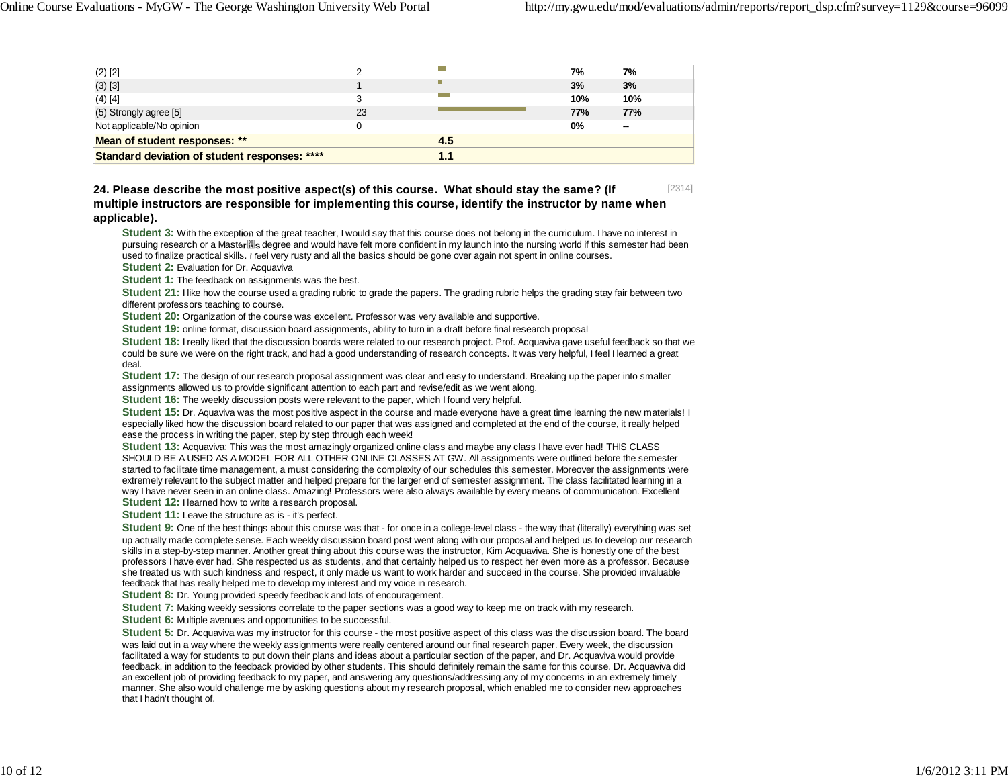| $(2)$ [2]                                     |     |     | 7%  | 7%     |
|-----------------------------------------------|-----|-----|-----|--------|
| $(3)$ [3]                                     |     | П   | 3%  | 3%     |
| $(4)$ [4]                                     |     |     | 10% | 10%    |
| $(5)$ Strongly agree [5]                      | 23  |     | 77% | 77%    |
| Not applicable/No opinion                     |     |     | 0%  | $\sim$ |
| Mean of student responses: **                 |     | 4.5 |     |        |
| Standard deviation of student responses: **** | 1.1 |     |     |        |

[2314] **24. Please describe the most positive aspect(s) of this course. What should stay the same? (If multiple instructors are responsible for implementing this course, identify the instructor by name when applicable).**

**Student 3:** With the exception of the great teacher, I would say that this course does not belong in the curriculum. I have no interest in pursuing research or a Master is degree and would have felt more confident in my launch into the nursing world if this semester had been used to finalize practical skills. I feel very rusty and all the basics should be gone over again not spent in online courses. **Student 2:** Evaluation for Dr. Acquaviva

**Student 1:** The feedback on assignments was the best.

**Student 21:** I like how the course used a grading rubric to grade the papers. The grading rubric helps the grading stay fair between two different professors teaching to course.

**Student 20:** Organization of the course was excellent. Professor was very available and supportive.

**Student 19:** online format, discussion board assignments, ability to turn in a draft before final research proposal

**Student 18:** I really liked that the discussion boards were related to our research project. Prof. Acquaviva gave useful feedback so that we could be sure we were on the right track, and had a good understanding of research concepts. It was very helpful, I feel I learned a great deal.

**Student 17:** The design of our research proposal assignment was clear and easy to understand. Breaking up the paper into smaller assignments allowed us to provide significant attention to each part and revise/edit as we went along.

**Student 16:** The weekly discussion posts were relevant to the paper, which I found very helpful.

**Student 15:** Dr. Aquaviva was the most positive aspect in the course and made everyone have a great time learning the new materials! I especially liked how the discussion board related to our paper that was assigned and completed at the end of the course, it really helped ease the process in writing the paper, step by step through each week!

**Student 13:** Acquaviva: This was the most amazingly organized online class and maybe any class I have ever had! THIS CLASS SHOULD BE A USED AS A MODEL FOR ALL OTHER ONLINE CLASSES AT GW. All assignments were outlined before the semester started to facilitate time management, a must considering the complexity of our schedules this semester. Moreover the assignments were extremely relevant to the subject matter and helped prepare for the larger end of semester assignment. The class facilitated learning in a way I have never seen in an online class. Amazing! Professors were also always available by every means of communication. Excellent

**Student 12:** I learned how to write a research proposal.

**Student 11:** Leave the structure as is - it's perfect.

**Student 9:** One of the best things about this course was that - for once in a college-level class - the way that (literally) everything was set up actually made complete sense. Each weekly discussion board post went along with our proposal and helped us to develop our research skills in a step-by-step manner. Another great thing about this course was the instructor, Kim Acquaviva. She is honestly one of the best professors I have ever had. She respected us as students, and that certainly helped us to respect her even more as a professor. Because she treated us with such kindness and respect, it only made us want to work harder and succeed in the course. She provided invaluable feedback that has really helped me to develop my interest and my voice in research.

**Student 8:** Dr. Young provided speedy feedback and lots of encouragement.

**Student 7:** Making weekly sessions correlate to the paper sections was a good way to keep me on track with my research.

**Student 6:** Multiple avenues and opportunities to be successful.

**Student 5:** Dr. Acquaviva was my instructor for this course - the most positive aspect of this class was the discussion board. The board was laid out in a way where the weekly assignments were really centered around our final research paper. Every week, the discussion facilitated a way for students to put down their plans and ideas about a particular section of the paper, and Dr. Acquaviva would provide feedback, in addition to the feedback provided by other students. This should definitely remain the same for this course. Dr. Acquaviva did an excellent job of providing feedback to my paper, and answering any questions/addressing any of my concerns in an extremely timely manner. She also would challenge me by asking questions about my research proposal, which enabled me to consider new approaches that I hadn't thought of.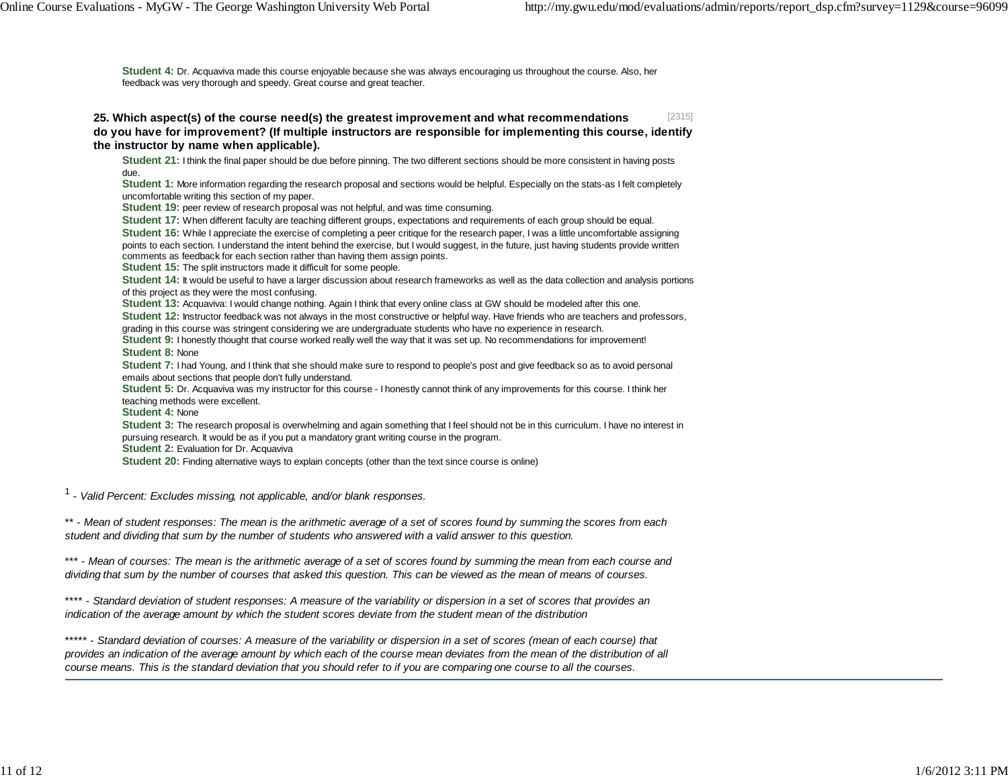**Student 4:** Dr. Acquaviva made this course enjoyable because she was always encouraging us throughout the course. Also, her feedback was very thorough and speedy. Great course and great teacher.

[2315] **25. Which aspect(s) of the course need(s) the greatest improvement and what recommendations do you have for improvement? (If multiple instructors are responsible for implementing this course, identify the instructor by name when applicable).**

**Student 21:** I think the final paper should be due before pinning. The two different sections should be more consistent in having posts due.

**Student 1:** More information regarding the research proposal and sections would be helpful. Especially on the stats-as I felt completely uncomfortable writing this section of my paper.

**Student 19:** peer review of research proposal was not helpful, and was time consuming.

**Student 17:** When different faculty are teaching different groups, expectations and requirements of each group should be equal.

**Student 16:** While I appreciate the exercise of completing a peer critique for the research paper. I was a little uncomfortable assigning points to each section. I understand the intent behind the exercise, but I would suggest, in the future, just having students provide written comments as feedback for each section rather than having them assign points.

**Student 15:** The split instructors made it difficult for some people.

**Student 14:** It would be useful to have a larger discussion about research frameworks as well as the data collection and analysis portions of this project as they were the most confusing.

**Student 13:** Acquaviva: I would change nothing. Again I think that every online class at GW should be modeled after this one.

**Student 12:** Instructor feedback was not always in the most constructive or helpful way. Have friends who are teachers and professors, grading in this course was stringent considering we are undergraduate students who have no experience in research.

**Student 9:** I honestly thought that course worked really well the way that it was set up. No recommendations for improvement!

**Student 8:** None

**Student 7:** I had Young, and I think that she should make sure to respond to people's post and give feedback so as to avoid personal emails about sections that people don't fully understand.

**Student 5:** Dr. Acquaviva was my instructor for this course - I honestly cannot think of any improvements for this course. I think her teaching methods were excellent.

**Student 4:** None

**Student 3:** The research proposal is overwhelming and again something that I feel should not be in this curriculum. I have no interest in pursuing research. It would be as if you put a mandatory grant writing course in the program. **Student 2:** Evaluation for Dr. Acquaviva

**Student 20:** Finding alternative ways to explain concepts (other than the text since course is online)

1 - *Valid Percent: Excludes missing, not applicable, and/or blank responses.*

\*\* - *Mean of student responses: The mean is the arithmetic average of a set of scores found by summing the scores from each student and dividing that sum by the number of students who answered with a valid answer to this question.*

\*\*\* - *Mean of courses: The mean is the arithmetic average of a set of scores found by summing the mean from each course and dividing that sum by the number of courses that asked this question. This can be viewed as the mean of means of courses.*

\*\*\*\* - *Standard deviation of student responses: A measure of the variability or dispersion in a set of scores that provides an indication of the average amount by which the student scores deviate from the student mean of the distribution*

\*\*\*\*\* - *Standard deviation of courses: A measure of the variability or dispersion in a set of scores (mean of each course) that provides an indication of the average amount by which each of the course mean deviates from the mean of the distribution of all course means. This is the standard deviation that you should refer to if you are comparing one course to all the courses.*